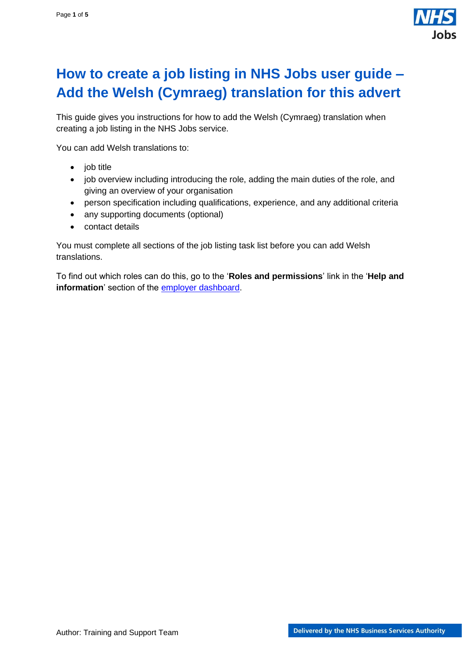

## <span id="page-0-0"></span>**How to create a job listing in NHS Jobs user guide – Add the Welsh (Cymraeg) translation for this advert**

This guide gives you instructions for how to add the Welsh (Cymraeg) translation when creating a job listing in the NHS Jobs service.

You can add Welsh translations to:

- job title
- job overview including introducing the role, adding the main duties of the role, and giving an overview of your organisation
- person specification including qualifications, experience, and any additional criteria
- any supporting documents (optional)
- contact details

You must complete all sections of the job listing task list before you can add Welsh translations.

To find out which roles can do this, go to the '**Roles and permissions**' link in the '**Help and information**' section of the **employer dashboard**.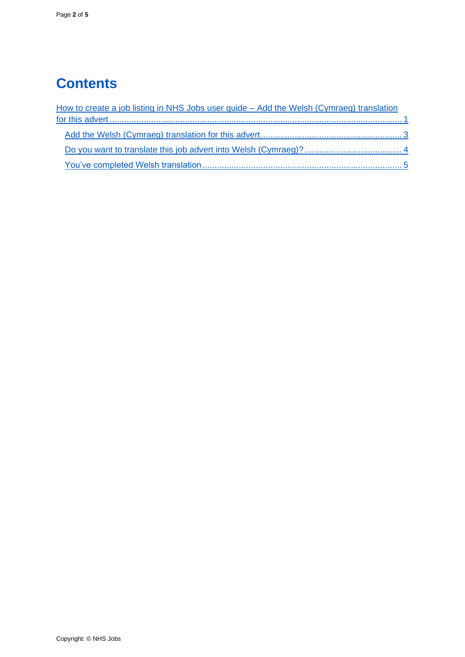# **Contents**

| How to create a job listing in NHS Jobs user guide - Add the Welsh (Cymraeg) translation |  |
|------------------------------------------------------------------------------------------|--|
|                                                                                          |  |
|                                                                                          |  |
|                                                                                          |  |
|                                                                                          |  |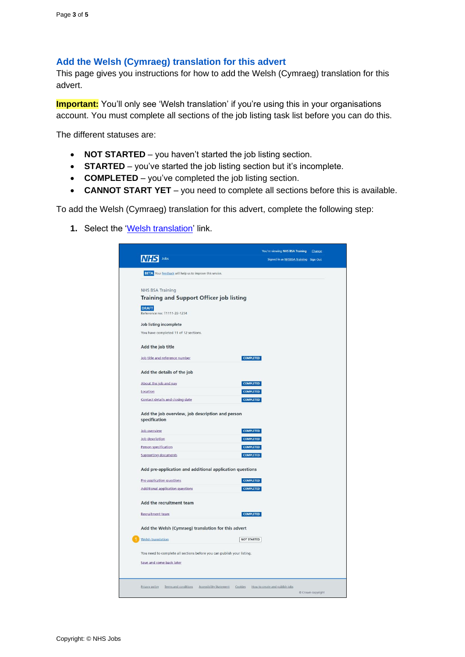### <span id="page-2-0"></span>**Add the Welsh (Cymraeg) translation for this advert**

This page gives you instructions for how to add the Welsh (Cymraeg) translation for this advert.

**Important:** You'll only see 'Welsh translation' if you're using this in your organisations account. You must complete all sections of the job listing task list before you can do this.

The different statuses are:

- **NOT STARTED**  you haven't started the job listing section.
- **STARTED** you've started the job listing section but it's incomplete.
- **COMPLETED** you've completed the job listing section.
- **CANNOT START YET** you need to complete all sections before this is available.

To add the Welsh (Cymraeg) translation for this advert, complete the following step:

**1.** Select the ['Welsh translation'](#page-3-0) link.

| Jobs<br><b>BETA</b> Your feedback will help us to improve this service.<br><b>NHS BSA Training</b><br>Training and Support Officer job listing<br><b>DRAFT</b><br>Reference no: T1111-22-1234<br>Job listing incomplete<br>You have completed 11 of 12 sections.<br>Add the job title<br><b>COMPLETED</b><br>Job title and reference number<br>Add the details of the job<br><b>COMPLETED</b><br>About the job and pay<br><b>COMPLETED</b><br>Location<br>Contact details and closing date<br><b>COMPLETED</b><br>Add the job overview, job description and person<br>specification<br><b>Job overview</b><br><b>COMPLETED</b><br>Job description<br><b>COMPLETED</b><br><b>COMPLETED</b><br>Person specification<br><b>COMPLETED</b><br><b>Supporting documents</b><br>Add pre-application and additional application questions<br>Pre-application questions<br><b>COMPLETED</b><br><b>COMPLETED</b><br><b>Additional application questions</b><br>Add the recruitment team<br><b>Recruitment team</b><br><b>COMPLETED</b><br>Add the Welsh (Cymraeg) translation for this advert<br>Welsh translation<br><b>NOT STARTED</b><br>You need to complete all sections before you can publish your listing.<br>Save and come back later<br>Privacy policy<br>Terms and conditions<br>Accessibility Statement Cookies<br>How to create and publish jobs<br>Crown copyright | You're viewing NHS BSA Training<br>Change |
|-----------------------------------------------------------------------------------------------------------------------------------------------------------------------------------------------------------------------------------------------------------------------------------------------------------------------------------------------------------------------------------------------------------------------------------------------------------------------------------------------------------------------------------------------------------------------------------------------------------------------------------------------------------------------------------------------------------------------------------------------------------------------------------------------------------------------------------------------------------------------------------------------------------------------------------------------------------------------------------------------------------------------------------------------------------------------------------------------------------------------------------------------------------------------------------------------------------------------------------------------------------------------------------------------------------------------------------------------------------------------|-------------------------------------------|
|                                                                                                                                                                                                                                                                                                                                                                                                                                                                                                                                                                                                                                                                                                                                                                                                                                                                                                                                                                                                                                                                                                                                                                                                                                                                                                                                                                       | Signed in as NHSBSA Training Sign Out     |
|                                                                                                                                                                                                                                                                                                                                                                                                                                                                                                                                                                                                                                                                                                                                                                                                                                                                                                                                                                                                                                                                                                                                                                                                                                                                                                                                                                       |                                           |
|                                                                                                                                                                                                                                                                                                                                                                                                                                                                                                                                                                                                                                                                                                                                                                                                                                                                                                                                                                                                                                                                                                                                                                                                                                                                                                                                                                       |                                           |
|                                                                                                                                                                                                                                                                                                                                                                                                                                                                                                                                                                                                                                                                                                                                                                                                                                                                                                                                                                                                                                                                                                                                                                                                                                                                                                                                                                       |                                           |
|                                                                                                                                                                                                                                                                                                                                                                                                                                                                                                                                                                                                                                                                                                                                                                                                                                                                                                                                                                                                                                                                                                                                                                                                                                                                                                                                                                       |                                           |
|                                                                                                                                                                                                                                                                                                                                                                                                                                                                                                                                                                                                                                                                                                                                                                                                                                                                                                                                                                                                                                                                                                                                                                                                                                                                                                                                                                       |                                           |
|                                                                                                                                                                                                                                                                                                                                                                                                                                                                                                                                                                                                                                                                                                                                                                                                                                                                                                                                                                                                                                                                                                                                                                                                                                                                                                                                                                       |                                           |
|                                                                                                                                                                                                                                                                                                                                                                                                                                                                                                                                                                                                                                                                                                                                                                                                                                                                                                                                                                                                                                                                                                                                                                                                                                                                                                                                                                       |                                           |
|                                                                                                                                                                                                                                                                                                                                                                                                                                                                                                                                                                                                                                                                                                                                                                                                                                                                                                                                                                                                                                                                                                                                                                                                                                                                                                                                                                       |                                           |
|                                                                                                                                                                                                                                                                                                                                                                                                                                                                                                                                                                                                                                                                                                                                                                                                                                                                                                                                                                                                                                                                                                                                                                                                                                                                                                                                                                       |                                           |
|                                                                                                                                                                                                                                                                                                                                                                                                                                                                                                                                                                                                                                                                                                                                                                                                                                                                                                                                                                                                                                                                                                                                                                                                                                                                                                                                                                       |                                           |
|                                                                                                                                                                                                                                                                                                                                                                                                                                                                                                                                                                                                                                                                                                                                                                                                                                                                                                                                                                                                                                                                                                                                                                                                                                                                                                                                                                       |                                           |
|                                                                                                                                                                                                                                                                                                                                                                                                                                                                                                                                                                                                                                                                                                                                                                                                                                                                                                                                                                                                                                                                                                                                                                                                                                                                                                                                                                       |                                           |
|                                                                                                                                                                                                                                                                                                                                                                                                                                                                                                                                                                                                                                                                                                                                                                                                                                                                                                                                                                                                                                                                                                                                                                                                                                                                                                                                                                       |                                           |
|                                                                                                                                                                                                                                                                                                                                                                                                                                                                                                                                                                                                                                                                                                                                                                                                                                                                                                                                                                                                                                                                                                                                                                                                                                                                                                                                                                       |                                           |
|                                                                                                                                                                                                                                                                                                                                                                                                                                                                                                                                                                                                                                                                                                                                                                                                                                                                                                                                                                                                                                                                                                                                                                                                                                                                                                                                                                       |                                           |
|                                                                                                                                                                                                                                                                                                                                                                                                                                                                                                                                                                                                                                                                                                                                                                                                                                                                                                                                                                                                                                                                                                                                                                                                                                                                                                                                                                       |                                           |
|                                                                                                                                                                                                                                                                                                                                                                                                                                                                                                                                                                                                                                                                                                                                                                                                                                                                                                                                                                                                                                                                                                                                                                                                                                                                                                                                                                       |                                           |
|                                                                                                                                                                                                                                                                                                                                                                                                                                                                                                                                                                                                                                                                                                                                                                                                                                                                                                                                                                                                                                                                                                                                                                                                                                                                                                                                                                       |                                           |
|                                                                                                                                                                                                                                                                                                                                                                                                                                                                                                                                                                                                                                                                                                                                                                                                                                                                                                                                                                                                                                                                                                                                                                                                                                                                                                                                                                       |                                           |
|                                                                                                                                                                                                                                                                                                                                                                                                                                                                                                                                                                                                                                                                                                                                                                                                                                                                                                                                                                                                                                                                                                                                                                                                                                                                                                                                                                       |                                           |
|                                                                                                                                                                                                                                                                                                                                                                                                                                                                                                                                                                                                                                                                                                                                                                                                                                                                                                                                                                                                                                                                                                                                                                                                                                                                                                                                                                       |                                           |
|                                                                                                                                                                                                                                                                                                                                                                                                                                                                                                                                                                                                                                                                                                                                                                                                                                                                                                                                                                                                                                                                                                                                                                                                                                                                                                                                                                       |                                           |
|                                                                                                                                                                                                                                                                                                                                                                                                                                                                                                                                                                                                                                                                                                                                                                                                                                                                                                                                                                                                                                                                                                                                                                                                                                                                                                                                                                       |                                           |
|                                                                                                                                                                                                                                                                                                                                                                                                                                                                                                                                                                                                                                                                                                                                                                                                                                                                                                                                                                                                                                                                                                                                                                                                                                                                                                                                                                       |                                           |
|                                                                                                                                                                                                                                                                                                                                                                                                                                                                                                                                                                                                                                                                                                                                                                                                                                                                                                                                                                                                                                                                                                                                                                                                                                                                                                                                                                       |                                           |
|                                                                                                                                                                                                                                                                                                                                                                                                                                                                                                                                                                                                                                                                                                                                                                                                                                                                                                                                                                                                                                                                                                                                                                                                                                                                                                                                                                       |                                           |
|                                                                                                                                                                                                                                                                                                                                                                                                                                                                                                                                                                                                                                                                                                                                                                                                                                                                                                                                                                                                                                                                                                                                                                                                                                                                                                                                                                       |                                           |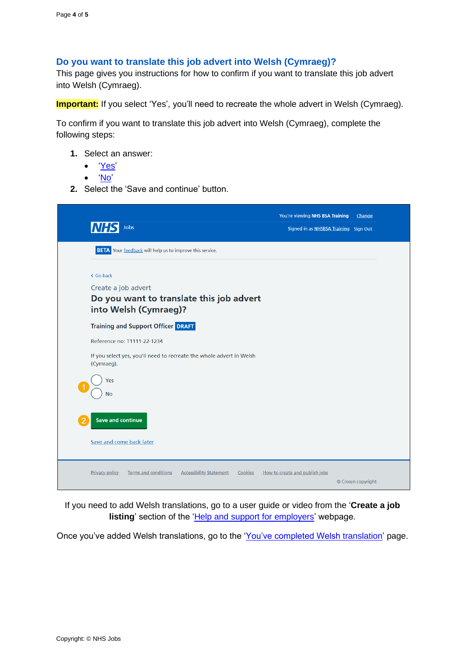### <span id="page-3-0"></span>**Do you want to translate this job advert into Welsh (Cymraeg)?**

This page gives you instructions for how to confirm if you want to translate this job advert into Welsh (Cymraeg).

**Important:** If you select 'Yes', you'll need to recreate the whole advert in Welsh (Cymraeg).

To confirm if you want to translate this job advert into Welsh (Cymraeg), complete the following steps:

- **1.** Select an answer:
	- ['Yes'](#page-3-1)
	- ['No'](#page-4-0)
- **2.** Select the 'Save and continue' button.



<span id="page-3-1"></span>If you need to add Welsh translations, go to a user guide or video from the '**Create a job listing**' section of the ['Help and support for employers'](https://www.nhsbsa.nhs.uk/new-nhs-jobs-service/help-and-support-employers) webpage.

Once you've added Welsh translations, go to the ['You've completed Welsh](#page-4-0) translation' page.